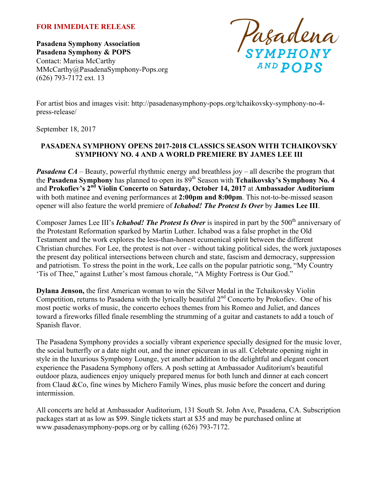#### **FOR IMMEDIATE RELEASE**

**Pasadena Symphony Association Pasadena Symphony & POPS** Contact: Marisa McCarthy MMcCarthy@PasadenaSymphony-Pops.org (626) 793-7172 ext. 13

Pasadena

For artist bios and images visit: http://pasadenasymphony-pops.org/tchaikovsky-symphony-no-4 press-release/

September 18, 2017

# **PASADENA SYMPHONY OPENS 2017-2018 CLASSICS SEASON WITH TCHAIKOVSKY SYMPHONY NO. 4 AND A WORLD PREMIERE BY JAMES LEE III**

*Pasadena CA* – Beauty, powerful rhythmic energy and breathless joy – all describe the program that the **Pasadena Symphony** has planned to open its 89th Season with **Tchaikovsky's Symphony No. 4** and **Prokofiev's 2nd Violin Concerto** on **Saturday, October 14, 2017** at **Ambassador Auditorium** with both matinee and evening performances at **2:00pm and 8:00pm**. This not-to-be-missed season opener will also feature the world premiere of *Ichabod! The Protest Is Over* by **James Lee III**.

Composer James Lee III's *Ichabod! The Protest Is Over* is inspired in part by the 500<sup>th</sup> anniversary of the Protestant Reformation sparked by Martin Luther. Ichabod was a false prophet in the Old Testament and the work explores the less-than-honest ecumenical spirit between the different Christian churches. For Lee, the protest is not over - without taking political sides, the work juxtaposes the present day political intersections between church and state, fascism and democracy, suppression and patriotism. To stress the point in the work, Lee calls on the popular patriotic song, "My Country 'Tis of Thee," against Luther's most famous chorale, "A Mighty Fortress is Our God."

**Dylana Jenson,** the first American woman to win the Silver Medal in the Tchaikovsky Violin Competition, returns to Pasadena with the lyrically beautiful  $2<sup>nd</sup>$  Concerto by Prokofiev. One of his most poetic works of music, the concerto echoes themes from his Romeo and Juliet, and dances toward a fireworks filled finale resembling the strumming of a guitar and castanets to add a touch of Spanish flavor.

The Pasadena Symphony provides a socially vibrant experience specially designed for the music lover, the social butterfly or a date night out, and the inner epicurean in us all. Celebrate opening night in style in the luxurious Symphony Lounge, yet another addition to the delightful and elegant concert experience the Pasadena Symphony offers. A posh setting at Ambassador Auditorium's beautiful outdoor plaza, audiences enjoy uniquely prepared menus for both lunch and dinner at each concert from Claud &Co, fine wines by Michero Family Wines, plus music before the concert and during intermission.

All concerts are held at Ambassador Auditorium, 131 South St. John Ave, Pasadena, CA. Subscription packages start at as low as \$99. Single tickets start at \$35 and may be purchased online at www.pasadenasymphony-pops.org or by calling (626) 793-7172.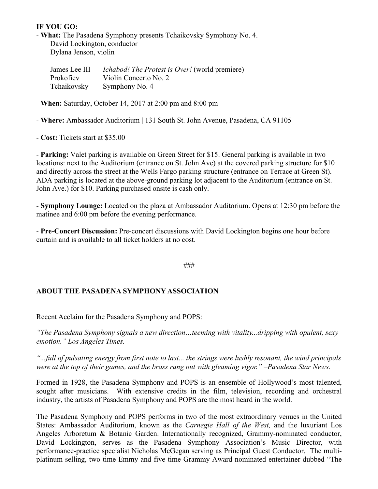# **IF YOU GO:**

- **What:** The Pasadena Symphony presents Tchaikovsky Symphony No. 4. David Lockington, conductor Dylana Jenson, violin

| James Lee III | <i>Ichabod! The Protest is Over!</i> (world premiere) |
|---------------|-------------------------------------------------------|
| Prokofiev     | Violin Concerto No. 2                                 |
| Tchaikovsky   | Symphony No. 4                                        |

- **When:** Saturday, October 14, 2017 at 2:00 pm and 8:00 pm

- **Where:** Ambassador Auditorium | 131 South St. John Avenue, Pasadena, CA 91105

- **Cost:** Tickets start at \$35.00

- **Parking:** Valet parking is available on Green Street for \$15. General parking is available in two locations: next to the Auditorium (entrance on St. John Ave) at the covered parking structure for \$10 and directly across the street at the Wells Fargo parking structure (entrance on Terrace at Green St). ADA parking is located at the above-ground parking lot adjacent to the Auditorium (entrance on St. John Ave.) for \$10. Parking purchased onsite is cash only.

- **Symphony Lounge:** Located on the plaza at Ambassador Auditorium. Opens at 12:30 pm before the matinee and 6:00 pm before the evening performance.

- **Pre-Concert Discussion:** Pre-concert discussions with David Lockington begins one hour before curtain and is available to all ticket holders at no cost.

###

# **ABOUT THE PASADENA SYMPHONY ASSOCIATION**

Recent Acclaim for the Pasadena Symphony and POPS:

*"The Pasadena Symphony signals a new direction…teeming with vitality...dripping with opulent, sexy emotion." Los Angeles Times.* 

*"...full of pulsating energy from first note to last... the strings were lushly resonant, the wind principals were at the top of their games, and the brass rang out with gleaming vigor." –Pasadena Star News.*

Formed in 1928, the Pasadena Symphony and POPS is an ensemble of Hollywood's most talented, sought after musicians. With extensive credits in the film, television, recording and orchestral industry, the artists of Pasadena Symphony and POPS are the most heard in the world.

The Pasadena Symphony and POPS performs in two of the most extraordinary venues in the United States: Ambassador Auditorium, known as the *Carnegie Hall of the West,* and the luxuriant Los Angeles Arboretum & Botanic Garden. Internationally recognized, Grammy-nominated conductor, David Lockington, serves as the Pasadena Symphony Association's Music Director, with performance-practice specialist Nicholas McGegan serving as Principal Guest Conductor. The multiplatinum-selling, two-time Emmy and five-time Grammy Award-nominated entertainer dubbed "The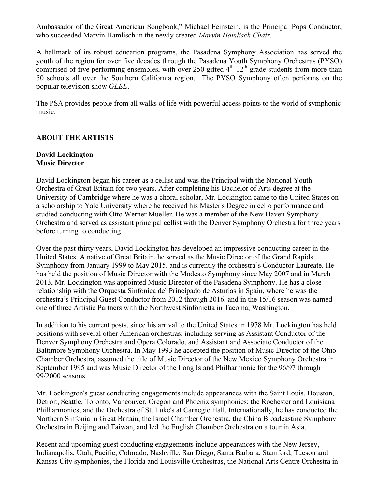Ambassador of the Great American Songbook," Michael Feinstein, is the Principal Pops Conductor, who succeeded Marvin Hamlisch in the newly created *Marvin Hamlisch Chair.*

A hallmark of its robust education programs, the Pasadena Symphony Association has served the youth of the region for over five decades through the Pasadena Youth Symphony Orchestras (PYSO) comprised of five performing ensembles, with over 250 gifted  $4<sup>th</sup>$ -12<sup>th</sup> grade students from more than 50 schools all over the Southern California region. The PYSO Symphony often performs on the popular television show *GLEE*.

The PSA provides people from all walks of life with powerful access points to the world of symphonic music.

# **ABOUT THE ARTISTS**

# **David Lockington Music Director**

David Lockington began his career as a cellist and was the Principal with the National Youth Orchestra of Great Britain for two years. After completing his Bachelor of Arts degree at the University of Cambridge where he was a choral scholar, Mr. Lockington came to the United States on a scholarship to Yale University where he received his Master's Degree in cello performance and studied conducting with Otto Werner Mueller. He was a member of the New Haven Symphony Orchestra and served as assistant principal cellist with the Denver Symphony Orchestra for three years before turning to conducting.

Over the past thirty years, David Lockington has developed an impressive conducting career in the United States. A native of Great Britain, he served as the Music Director of the Grand Rapids Symphony from January 1999 to May 2015, and is currently the orchestra's Conductor Laureate. He has held the position of Music Director with the Modesto Symphony since May 2007 and in March 2013, Mr. Lockington was appointed Music Director of the Pasadena Symphony. He has a close relationship with the Orquesta Sinfonica del Principado de Asturias in Spain, where he was the orchestra's Principal Guest Conductor from 2012 through 2016, and in the 15/16 season was named one of three Artistic Partners with the Northwest Sinfonietta in Tacoma, Washington.

In addition to his current posts, since his arrival to the United States in 1978 Mr. Lockington has held positions with several other American orchestras, including serving as Assistant Conductor of the Denver Symphony Orchestra and Opera Colorado, and Assistant and Associate Conductor of the Baltimore Symphony Orchestra. In May 1993 he accepted the position of Music Director of the Ohio Chamber Orchestra, assumed the title of Music Director of the New Mexico Symphony Orchestra in September 1995 and was Music Director of the Long Island Philharmonic for the 96/97 through 99/2000 seasons.

Mr. Lockington's guest conducting engagements include appearances with the Saint Louis, Houston, Detroit, Seattle, Toronto, Vancouver, Oregon and Phoenix symphonies; the Rochester and Louisiana Philharmonics; and the Orchestra of St. Luke's at Carnegie Hall. Internationally, he has conducted the Northern Sinfonia in Great Britain, the Israel Chamber Orchestra, the China Broadcasting Symphony Orchestra in Beijing and Taiwan, and led the English Chamber Orchestra on a tour in Asia.

Recent and upcoming guest conducting engagements include appearances with the New Jersey, Indianapolis, Utah, Pacific, Colorado, Nashville, San Diego, Santa Barbara, Stamford, Tucson and Kansas City symphonies, the Florida and Louisville Orchestras, the National Arts Centre Orchestra in